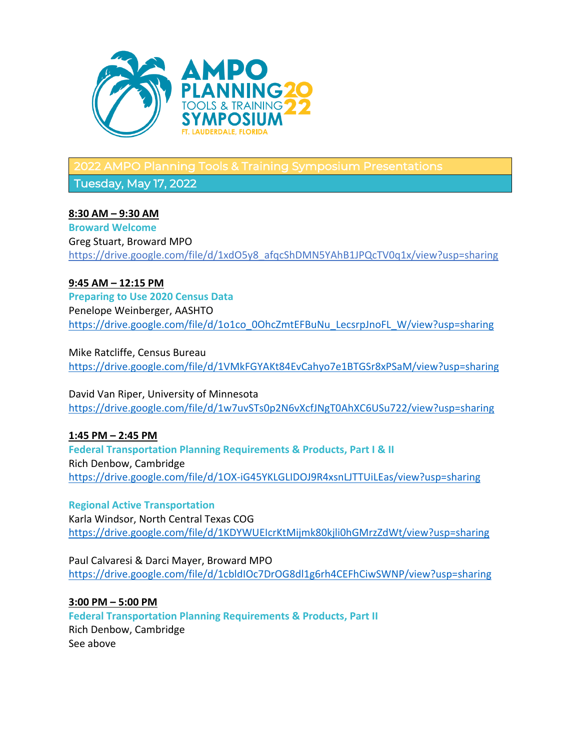

2022 AMPO Planning Tools & Training Symposium Presentations

Tuesday, May 17, 2022

# **8:30 AM – 9:30 AM**

**Broward Welcome** Greg Stuart, Broward MPO https://drive.google.com/file/d/1xdO5y8\_afqcShDMN5YAhB1JPQcTV0q1x/view?usp=sharing

# **9:45 AM – 12:15 PM**

**Preparing to Use 2020 Census Data** Penelope Weinberger, AASHTO https://drive.google.com/file/d/1o1co\_0OhcZmtEFBuNu\_LecsrpJnoFL\_W/view?usp=sharing

Mike Ratcliffe, Census Bureau https://drive.google.com/file/d/1VMkFGYAKt84EvCahyo7e1BTGSr8xPSaM/view?usp=sharing

David Van Riper, University of Minnesota https://drive.google.com/file/d/1w7uvSTs0p2N6vXcfJNgT0AhXC6USu722/view?usp=sharing

**1:45 PM – 2:45 PM Federal Transportation Planning Requirements & Products, Part I & II** Rich Denbow, Cambridge https://drive.google.com/file/d/1OX-iG45YKLGLIDOJ9R4xsnLJTTUiLEas/view?usp=sharing

**Regional Active Transportation** Karla Windsor, North Central Texas COG https://drive.google.com/file/d/1KDYWUEIcrKtMijmk80kjli0hGMrzZdWt/view?usp=sharing

Paul Calvaresi & Darci Mayer, Broward MPO https://drive.google.com/file/d/1cbldIOc7DrOG8dl1g6rh4CEFhCiwSWNP/view?usp=sharing

**3:00 PM – 5:00 PM Federal Transportation Planning Requirements & Products, Part II** Rich Denbow, Cambridge See above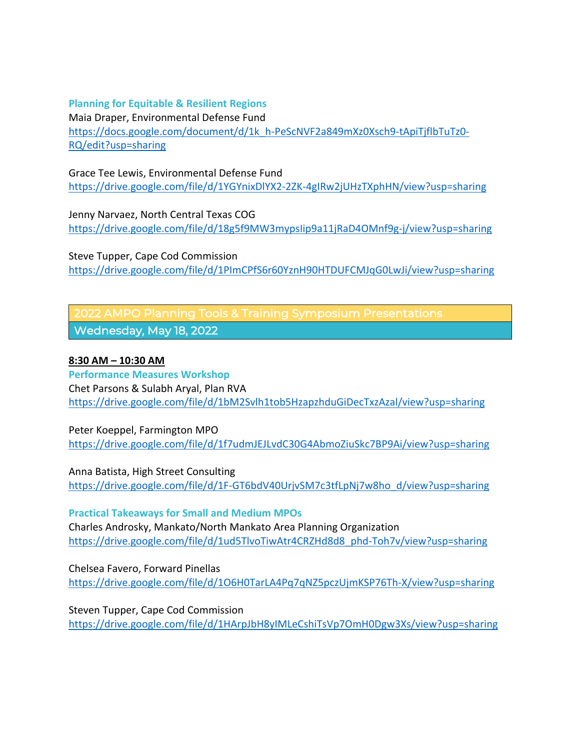## **Planning for Equitable & Resilient Regions**

Maia Draper, Environmental Defense Fund https://docs.google.com/document/d/1k\_h-PeScNVF2a849mXz0Xsch9-tApiTjflbTuTz0-RQ/edit?usp=sharing

# Grace Tee Lewis, Environmental Defense Fund

https://drive.google.com/file/d/1YGYnixDlYX2-2ZK-4gIRw2jUHzTXphHN/view?usp=sharing

Jenny Narvaez, North Central Texas COG https://drive.google.com/file/d/18g5f9MW3mypsIip9a11jRaD4OMnf9g-j/view?usp=sharing

Steve Tupper, Cape Cod Commission https://drive.google.com/file/d/1PImCPfS6r60YznH90HTDUFCMJqG0LwJi/view?usp=sharing

2022 AMPO Planning Tools & Training Symposium Presentations Wednesday, May 18, 2022

## **8:30 AM – 10:30 AM**

**Performance Measures Workshop** Chet Parsons & Sulabh Aryal, Plan RVA https://drive.google.com/file/d/1bM2Svlh1tob5HzapzhduGiDecTxzAzal/view?usp=sharing

Peter Koeppel, Farmington MPO https://drive.google.com/file/d/1f7udmJEJLvdC30G4AbmoZiuSkc7BP9Ai/view?usp=sharing

Anna Batista, High Street Consulting https://drive.google.com/file/d/1F-GT6bdV40UrjvSM7c3tfLpNj7w8ho\_d/view?usp=sharing

**Practical Takeaways for Small and Medium MPOs**

Charles Androsky, Mankato/North Mankato Area Planning Organization https://drive.google.com/file/d/1ud5TlvoTiwAtr4CRZHd8d8\_phd-Toh7v/view?usp=sharing

Chelsea Favero, Forward Pinellas https://drive.google.com/file/d/1O6H0TarLA4Pq7qNZ5pczUjmKSP76Th-X/view?usp=sharing

Steven Tupper, Cape Cod Commission https://drive.google.com/file/d/1HArpJbH8yIMLeCshiTsVp7OmH0Dgw3Xs/view?usp=sharing